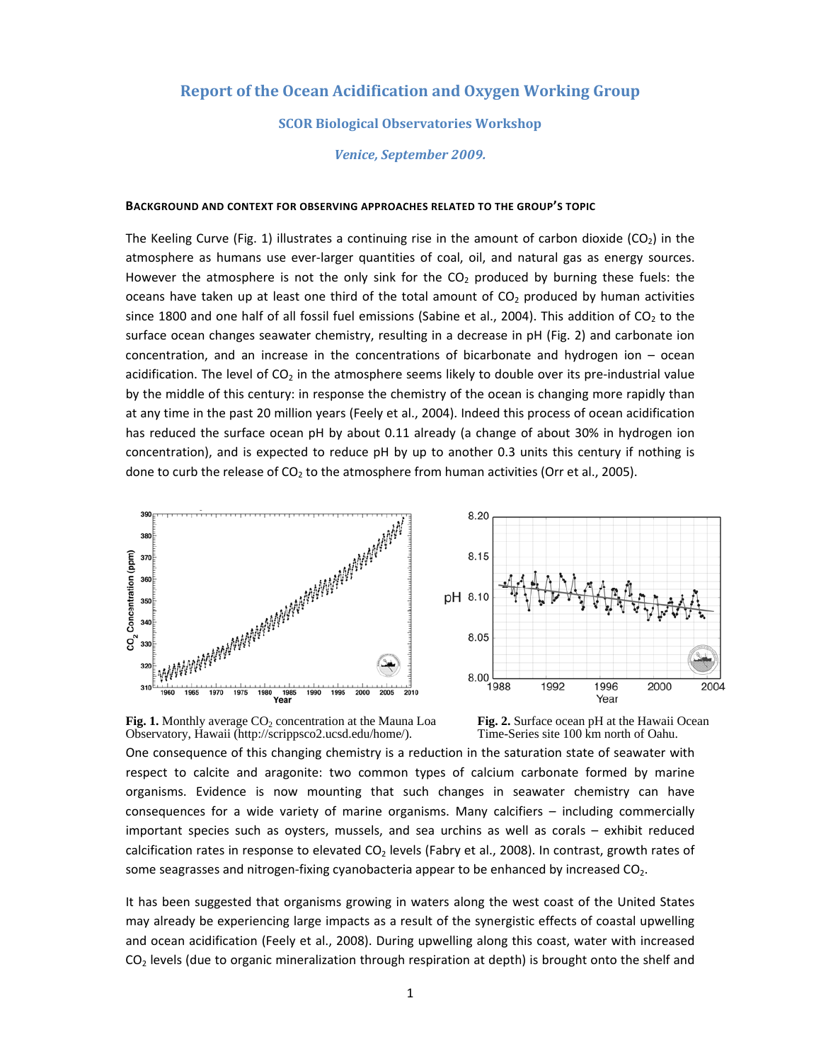# **Report of the Ocean Acidification and Oxygen Working Group**

# **SCOR Biological Observatories Workshop**

*Venice, September 2009.*

#### **BACKGROUND AND CONTEXT FOR OBSERVING APPROACHES RELATED TO THE GROUP'S TOPIC**

The Keeling Curve (Fig. 1) illustrates a continuing rise in the amount of carbon dioxide (CO<sub>2</sub>) in the atmosphere as humans use ever‐larger quantities of coal, oil, and natural gas as energy sources. However the atmosphere is not the only sink for the  $CO<sub>2</sub>$  produced by burning these fuels: the oceans have taken up at least one third of the total amount of  $CO<sub>2</sub>$  produced by human activities since 1800 and one half of all fossil fuel emissions (Sabine et al., 2004). This addition of  $CO<sub>2</sub>$  to the surface ocean changes seawater chemistry, resulting in a decrease in pH (Fig. 2) and carbonate ion concentration, and an increase in the concentrations of bicarbonate and hydrogen ion – ocean acidification. The level of  $CO<sub>2</sub>$  in the atmosphere seems likely to double over its pre-industrial value by the middle of this century: in response the chemistry of the ocean is changing more rapidly than at any time in the past 20 million years (Feely et al., 2004). Indeed this process of ocean acidification has reduced the surface ocean pH by about 0.11 already (a change of about 30% in hydrogen ion concentration), and is expected to reduce pH by up to another 0.3 units this century if nothing is done to curb the release of  $CO<sub>2</sub>$  to the atmosphere from human activities (Orr et al., 2005).





Fig. 1. Monthly average CO<sub>2</sub> concentration at the Mauna Loa Observatory, Hawaii (http://scrippsco2.ucsd.edu/home/).

**Fig. 2.** Surface ocean pH at the Hawaii Ocean Time-Series site 100 km north of Oahu.

One consequence of this changing chemistry is a reduction in the saturation state of seawater with respect to calcite and aragonite: two common types of calcium carbonate formed by marine organisms. Evidence is now mounting that such changes in seawater chemistry can have consequences for a wide variety of marine organisms. Many calcifiers – including commercially important species such as oysters, mussels, and sea urchins as well as corals – exhibit reduced calcification rates in response to elevated  $CO<sub>2</sub>$  levels (Fabry et al., 2008). In contrast, growth rates of some seagrasses and nitrogen-fixing cyanobacteria appear to be enhanced by increased  $CO<sub>2</sub>$ .

It has been suggested that organisms growing in waters along the west coast of the United States may already be experiencing large impacts as a result of the synergistic effects of coastal upwelling and ocean acidification (Feely et al., 2008). During upwelling along this coast, water with increased  $CO<sub>2</sub>$  levels (due to organic mineralization through respiration at depth) is brought onto the shelf and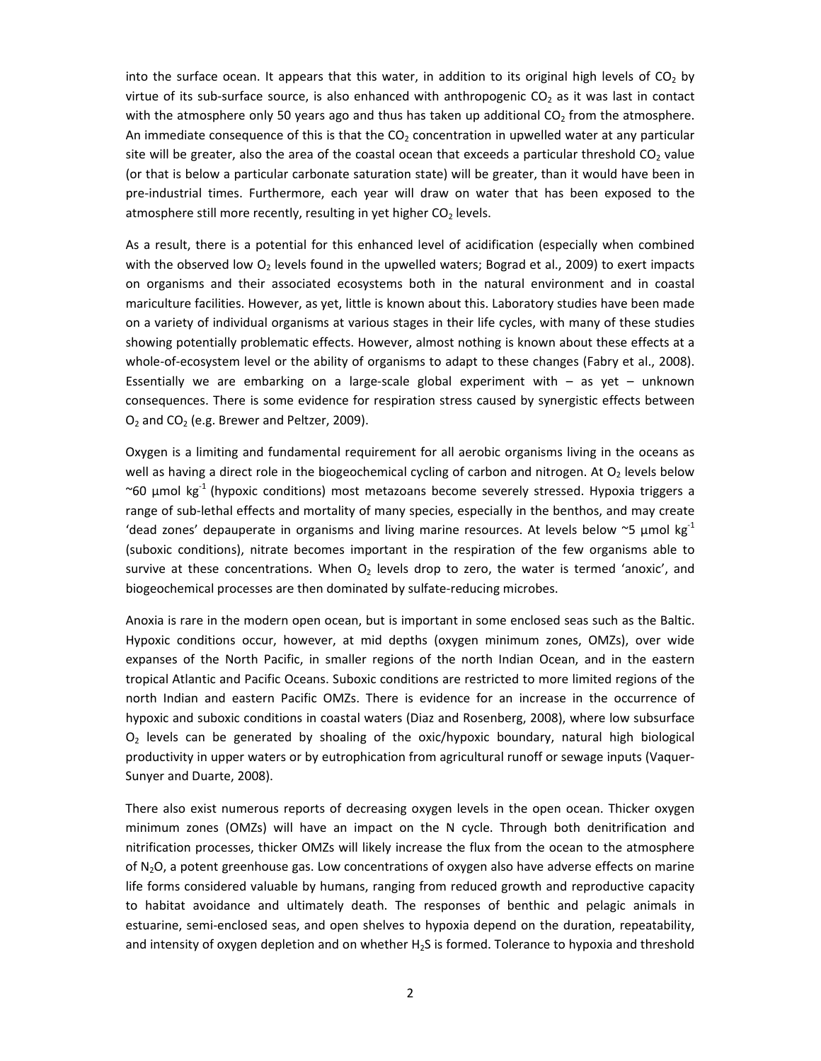into the surface ocean. It appears that this water, in addition to its original high levels of  $CO<sub>2</sub>$  by virtue of its sub-surface source, is also enhanced with anthropogenic  $CO<sub>2</sub>$  as it was last in contact with the atmosphere only 50 years ago and thus has taken up additional  $CO<sub>2</sub>$  from the atmosphere. An immediate consequence of this is that the  $CO<sub>2</sub>$  concentration in upwelled water at any particular site will be greater, also the area of the coastal ocean that exceeds a particular threshold  $CO<sub>2</sub>$  value (or that is below a particular carbonate saturation state) will be greater, than it would have been in pre‐industrial times. Furthermore, each year will draw on water that has been exposed to the atmosphere still more recently, resulting in yet higher  $CO<sub>2</sub>$  levels.

As a result, there is a potential for this enhanced level of acidification (especially when combined with the observed low  $O_2$  levels found in the upwelled waters; Bograd et al., 2009) to exert impacts on organisms and their associated ecosystems both in the natural environment and in coastal mariculture facilities. However, as yet, little is known about this. Laboratory studies have been made on a variety of individual organisms at various stages in their life cycles, with many of these studies showing potentially problematic effects. However, almost nothing is known about these effects at a whole-of-ecosystem level or the ability of organisms to adapt to these changes (Fabry et al., 2008). Essentially we are embarking on a large-scale global experiment with  $-$  as yet  $-$  unknown consequences. There is some evidence for respiration stress caused by synergistic effects between  $O<sub>2</sub>$  and CO<sub>2</sub> (e.g. Brewer and Peltzer, 2009).

Oxygen is a limiting and fundamental requirement for all aerobic organisms living in the oceans as well as having a direct role in the biogeochemical cycling of carbon and nitrogen. At  $O<sub>2</sub>$  levels below ~60  $\mu$ mol kg<sup>-1</sup> (hypoxic conditions) most metazoans become severely stressed. Hypoxia triggers a range of sub-lethal effects and mortality of many species, especially in the benthos, and may create 'dead zones' depauperate in organisms and living marine resources. At levels below  $\sim$ 5  $\mu$ mol kg<sup>-1</sup> (suboxic conditions), nitrate becomes important in the respiration of the few organisms able to survive at these concentrations. When  $O<sub>2</sub>$  levels drop to zero, the water is termed 'anoxic', and biogeochemical processes are then dominated by sulfate‐reducing microbes.

Anoxia is rare in the modern open ocean, but is important in some enclosed seas such as the Baltic. Hypoxic conditions occur, however, at mid depths (oxygen minimum zones, OMZs), over wide expanses of the North Pacific, in smaller regions of the north Indian Ocean, and in the eastern tropical Atlantic and Pacific Oceans. Suboxic conditions are restricted to more limited regions of the north Indian and eastern Pacific OMZs. There is evidence for an increase in the occurrence of hypoxic and suboxic conditions in coastal waters (Diaz and Rosenberg, 2008), where low subsurface O2 levels can be generated by shoaling of the oxic/hypoxic boundary, natural high biological productivity in upper waters or by eutrophication from agricultural runoff or sewage inputs (Vaquer‐ Sunyer and Duarte, 2008).

There also exist numerous reports of decreasing oxygen levels in the open ocean. Thicker oxygen minimum zones (OMZs) will have an impact on the N cycle. Through both denitrification and nitrification processes, thicker OMZs will likely increase the flux from the ocean to the atmosphere of N2O, a potent greenhouse gas. Low concentrations of oxygen also have adverse effects on marine life forms considered valuable by humans, ranging from reduced growth and reproductive capacity to habitat avoidance and ultimately death. The responses of benthic and pelagic animals in estuarine, semi-enclosed seas, and open shelves to hypoxia depend on the duration, repeatability, and intensity of oxygen depletion and on whether  $H_2S$  is formed. Tolerance to hypoxia and threshold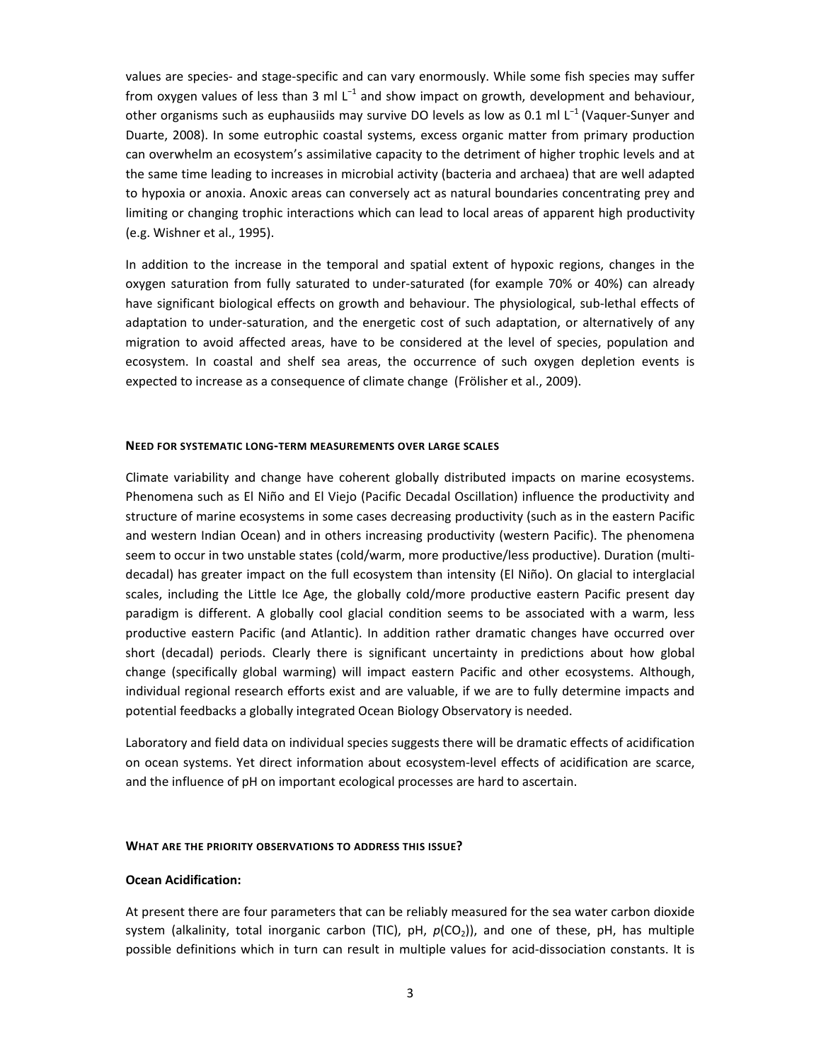values are species‐ and stage‐specific and can vary enormously. While some fish species may suffer from oxygen values of less than 3 ml L<sup>-1</sup> and show impact on growth, development and behaviour, other organisms such as euphausiids may survive DO levels as low as 0.1 ml L<sup>-1</sup> (Vaquer-Sunyer and Duarte, 2008). In some eutrophic coastal systems, excess organic matter from primary production can overwhelm an ecosystem's assimilative capacity to the detriment of higher trophic levels and at the same time leading to increases in microbial activity (bacteria and archaea) that are well adapted to hypoxia or anoxia. Anoxic areas can conversely act as natural boundaries concentrating prey and limiting or changing trophic interactions which can lead to local areas of apparent high productivity (e.g. Wishner et al., 1995).

In addition to the increase in the temporal and spatial extent of hypoxic regions, changes in the oxygen saturation from fully saturated to under‐saturated (for example 70% or 40%) can already have significant biological effects on growth and behaviour. The physiological, sub-lethal effects of adaptation to under‐saturation, and the energetic cost of such adaptation, or alternatively of any migration to avoid affected areas, have to be considered at the level of species, population and ecosystem. In coastal and shelf sea areas, the occurrence of such oxygen depletion events is expected to increase as a consequence of climate change (Frölisher et al., 2009).

#### **NEED FOR SYSTEMATIC LONG‐TERM MEASUREMENTS OVER LARGE SCALES**

Climate variability and change have coherent globally distributed impacts on marine ecosystems. Phenomena such as El Niño and El Viejo (Pacific Decadal Oscillation) influence the productivity and structure of marine ecosystems in some cases decreasing productivity (such as in the eastern Pacific and western Indian Ocean) and in others increasing productivity (western Pacific). The phenomena seem to occur in two unstable states (cold/warm, more productive/less productive). Duration (multidecadal) has greater impact on the full ecosystem than intensity (El Niño). On glacial to interglacial scales, including the Little Ice Age, the globally cold/more productive eastern Pacific present day paradigm is different. A globally cool glacial condition seems to be associated with a warm, less productive eastern Pacific (and Atlantic). In addition rather dramatic changes have occurred over short (decadal) periods. Clearly there is significant uncertainty in predictions about how global change (specifically global warming) will impact eastern Pacific and other ecosystems. Although, individual regional research efforts exist and are valuable, if we are to fully determine impacts and potential feedbacks a globally integrated Ocean Biology Observatory is needed.

Laboratory and field data on individual species suggests there will be dramatic effects of acidification on ocean systems. Yet direct information about ecosystem‐level effects of acidification are scarce, and the influence of pH on important ecological processes are hard to ascertain.

#### **WHAT ARE THE PRIORITY OBSERVATIONS TO ADDRESS THIS ISSUE?**

### **Ocean Acidification:**

At present there are four parameters that can be reliably measured for the sea water carbon dioxide system (alkalinity, total inorganic carbon (TIC), pH,  $p(CO_2)$ ), and one of these, pH, has multiple possible definitions which in turn can result in multiple values for acid‐dissociation constants. It is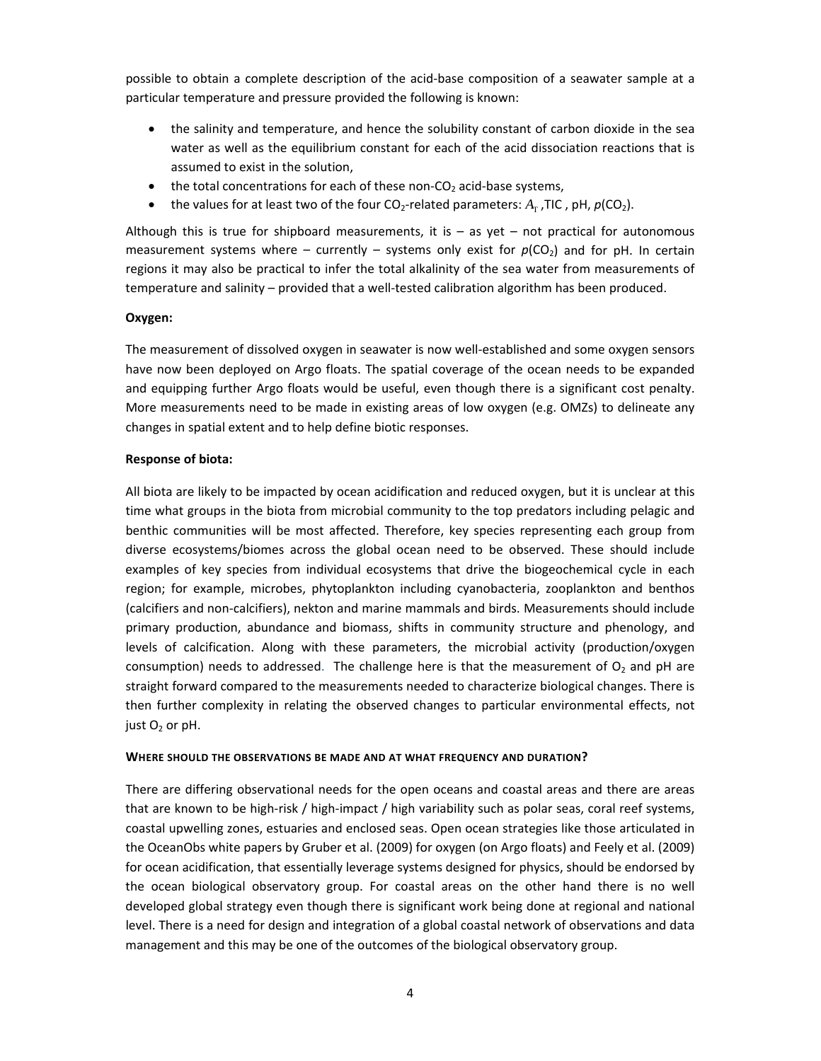possible to obtain a complete description of the acid‐base composition of a seawater sample at a particular temperature and pressure provided the following is known:

- the salinity and temperature, and hence the solubility constant of carbon dioxide in the sea water as well as the equilibrium constant for each of the acid dissociation reactions that is assumed to exist in the solution,
- the total concentrations for each of these non- $CO<sub>2</sub>$  acid-base systems,
- the values for at least two of the four  $CO_2$ -related parameters:  $A_T$ , TIC, pH,  $p(CO_2)$ .

Although this is true for shipboard measurements, it is  $-$  as yet  $-$  not practical for autonomous measurement systems where – currently – systems only exist for  $p(CO<sub>2</sub>)$  and for pH. In certain regions it may also be practical to infer the total alkalinity of the sea water from measurements of temperature and salinity – provided that a well-tested calibration algorithm has been produced.

# **Oxygen:**

The measurement of dissolved oxygen in seawater is now well‐established and some oxygen sensors have now been deployed on Argo floats. The spatial coverage of the ocean needs to be expanded and equipping further Argo floats would be useful, even though there is a significant cost penalty. More measurements need to be made in existing areas of low oxygen (e.g. OMZs) to delineate any changes in spatial extent and to help define biotic responses.

## **Response of biota:**

All biota are likely to be impacted by ocean acidification and reduced oxygen, but it is unclear at this time what groups in the biota from microbial community to the top predators including pelagic and benthic communities will be most affected. Therefore, key species representing each group from diverse ecosystems/biomes across the global ocean need to be observed. These should include examples of key species from individual ecosystems that drive the biogeochemical cycle in each region; for example, microbes, phytoplankton including cyanobacteria, zooplankton and benthos (calcifiers and non‐calcifiers), nekton and marine mammals and birds. Measurements should include primary production, abundance and biomass, shifts in community structure and phenology, and levels of calcification. Along with these parameters, the microbial activity (production/oxygen consumption) needs to addressed. The challenge here is that the measurement of  $O<sub>2</sub>$  and pH are straight forward compared to the measurements needed to characterize biological changes. There is then further complexity in relating the observed changes to particular environmental effects, not just  $O<sub>2</sub>$  or pH.

### **WHERE SHOULD THE OBSERVATIONS BE MADE AND AT WHAT FREQUENCY AND DURATION?**

There are differing observational needs for the open oceans and coastal areas and there are areas that are known to be high‐risk / high‐impact / high variability such as polar seas, coral reef systems, coastal upwelling zones, estuaries and enclosed seas. Open ocean strategies like those articulated in the OceanObs white papers by Gruber et al. (2009) for oxygen (on Argo floats) and Feely et al. (2009) for ocean acidification, that essentially leverage systems designed for physics, should be endorsed by the ocean biological observatory group. For coastal areas on the other hand there is no well developed global strategy even though there is significant work being done at regional and national level. There is a need for design and integration of a global coastal network of observations and data management and this may be one of the outcomes of the biological observatory group.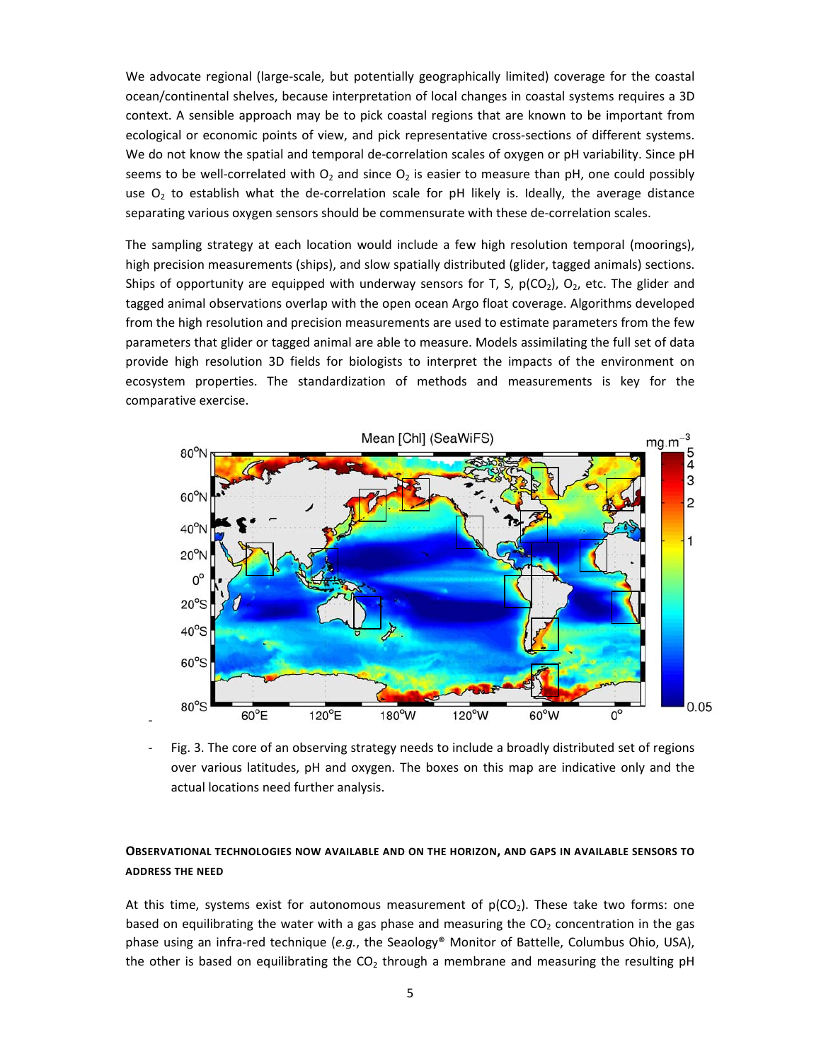We advocate regional (large-scale, but potentially geographically limited) coverage for the coastal ocean/continental shelves, because interpretation of local changes in coastal systems requires a 3D context. A sensible approach may be to pick coastal regions that are known to be important from ecological or economic points of view, and pick representative cross-sections of different systems. We do not know the spatial and temporal de-correlation scales of oxygen or pH variability. Since pH seems to be well-correlated with  $O_2$  and since  $O_2$  is easier to measure than pH, one could possibly use  $O<sub>2</sub>$  to establish what the de-correlation scale for pH likely is. Ideally, the average distance separating various oxygen sensors should be commensurate with these de-correlation scales.

The sampling strategy at each location would include a few high resolution temporal (moorings), high precision measurements (ships), and slow spatially distributed (glider, tagged animals) sections. Ships of opportunity are equipped with underway sensors for T, S,  $p(CO_2)$ ,  $O_2$ , etc. The glider and tagged animal observations overlap with the open ocean Argo float coverage. Algorithms developed from the high resolution and precision measurements are used to estimate parameters from the few parameters that glider or tagged animal are able to measure. Models assimilating the full set of data provide high resolution 3D fields for biologists to interpret the impacts of the environment on ecosystem properties. The standardization of methods and measurements is key for the comparative exercise.



Fig. 3. The core of an observing strategy needs to include a broadly distributed set of regions over various latitudes, pH and oxygen. The boxes on this map are indicative only and the actual locations need further analysis.

# **OBSERVATIONAL TECHNOLOGIES NOW AVAILABLE AND ON THE HORIZON, AND GAPS IN AVAILABLE SENSORS TO ADDRESS THE NEED**

At this time, systems exist for autonomous measurement of  $p(CO_2)$ . These take two forms: one based on equilibrating the water with a gas phase and measuring the  $CO<sub>2</sub>$  concentration in the gas phase using an infra‐red technique (*e.g.*, the Seaology® Monitor of Battelle, Columbus Ohio, USA), the other is based on equilibrating the  $CO<sub>2</sub>$  through a membrane and measuring the resulting pH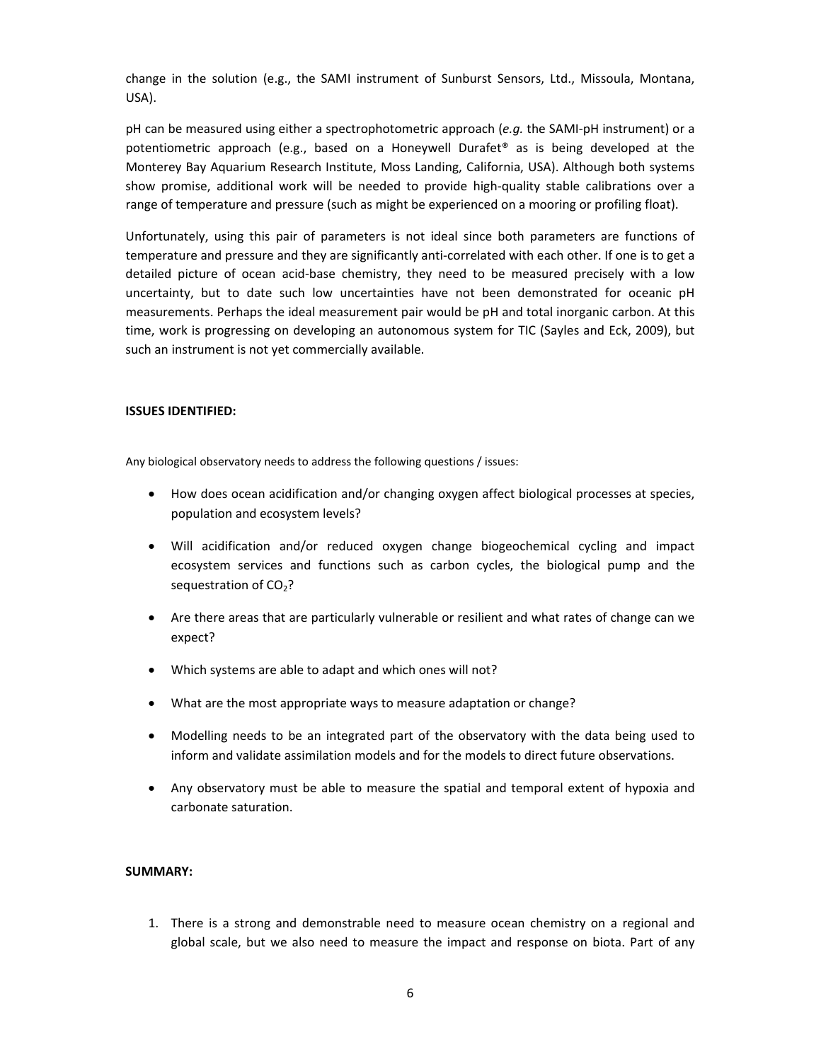change in the solution (e.g., the SAMI instrument of Sunburst Sensors, Ltd., Missoula, Montana, USA).

pH can be measured using either a spectrophotometric approach (*e.g.* the SAMI‐pH instrument) or a potentiometric approach (e.g., based on a Honeywell Durafet® as is being developed at the Monterey Bay Aquarium Research Institute, Moss Landing, California, USA). Although both systems show promise, additional work will be needed to provide high-quality stable calibrations over a range of temperature and pressure (such as might be experienced on a mooring or profiling float).

Unfortunately, using this pair of parameters is not ideal since both parameters are functions of temperature and pressure and they are significantly anti‐correlated with each other. If one is to get a detailed picture of ocean acid-base chemistry, they need to be measured precisely with a low uncertainty, but to date such low uncertainties have not been demonstrated for oceanic pH measurements. Perhaps the ideal measurement pair would be pH and total inorganic carbon. At this time, work is progressing on developing an autonomous system for TIC (Sayles and Eck, 2009), but such an instrument is not yet commercially available.

## **ISSUES IDENTIFIED:**

Any biological observatory needs to address the following questions / issues:

- How does ocean acidification and/or changing oxygen affect biological processes at species, population and ecosystem levels?
- Will acidification and/or reduced oxygen change biogeochemical cycling and impact ecosystem services and functions such as carbon cycles, the biological pump and the sequestration of  $CO<sub>2</sub>$ ?
- Are there areas that are particularly vulnerable or resilient and what rates of change can we expect?
- Which systems are able to adapt and which ones will not?
- What are the most appropriate ways to measure adaptation or change?
- Modelling needs to be an integrated part of the observatory with the data being used to inform and validate assimilation models and for the models to direct future observations.
- Any observatory must be able to measure the spatial and temporal extent of hypoxia and carbonate saturation.

# **SUMMARY:**

1. There is a strong and demonstrable need to measure ocean chemistry on a regional and global scale, but we also need to measure the impact and response on biota. Part of any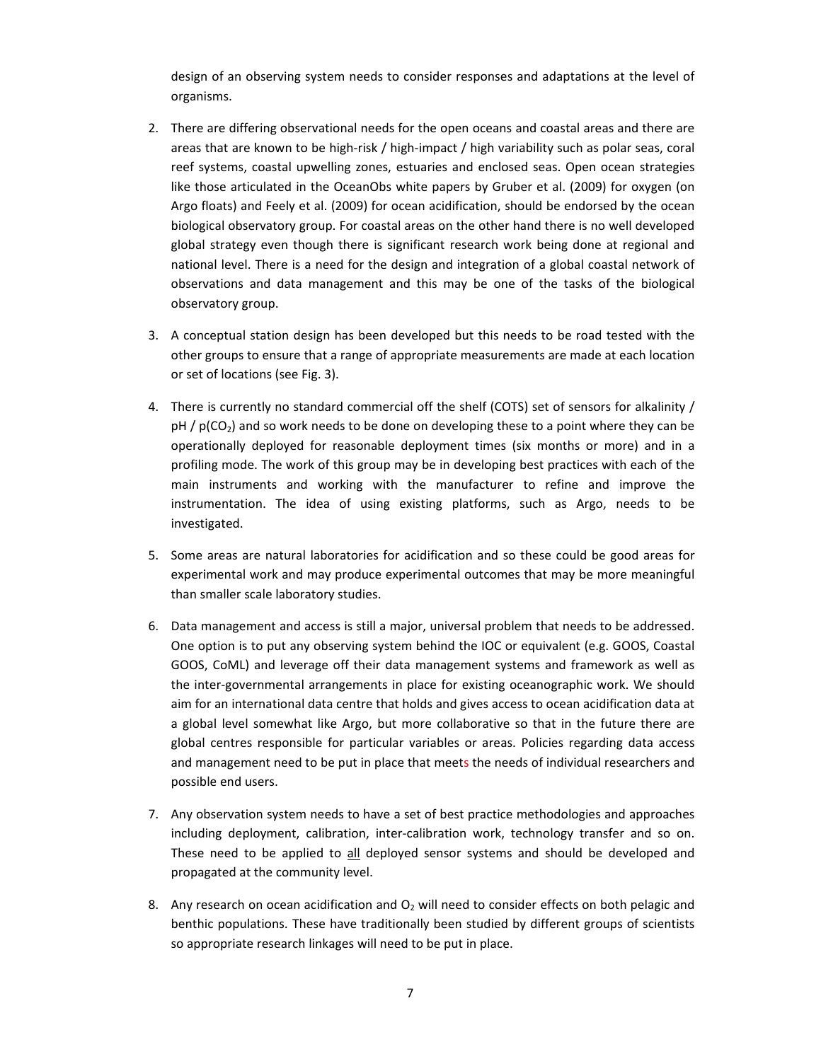design of an observing system needs to consider responses and adaptations at the level of organisms.

- 2. There are differing observational needs for the open oceans and coastal areas and there are areas that are known to be high‐risk / high‐impact / high variability such as polar seas, coral reef systems, coastal upwelling zones, estuaries and enclosed seas. Open ocean strategies like those articulated in the OceanObs white papers by Gruber et al. (2009) for oxygen (on Argo floats) and Feely et al. (2009) for ocean acidification, should be endorsed by the ocean biological observatory group. For coastal areas on the other hand there is no well developed global strategy even though there is significant research work being done at regional and national level. There is a need for the design and integration of a global coastal network of observations and data management and this may be one of the tasks of the biological observatory group.
- 3. A conceptual station design has been developed but this needs to be road tested with the other groups to ensure that a range of appropriate measurements are made at each location or set of locations (see Fig. 3).
- 4. There is currently no standard commercial off the shelf (COTS) set of sensors for alkalinity /  $pH / p(CO<sub>2</sub>)$  and so work needs to be done on developing these to a point where they can be operationally deployed for reasonable deployment times (six months or more) and in a profiling mode. The work of this group may be in developing best practices with each of the main instruments and working with the manufacturer to refine and improve the instrumentation. The idea of using existing platforms, such as Argo, needs to be investigated.
- 5. Some areas are natural laboratories for acidification and so these could be good areas for experimental work and may produce experimental outcomes that may be more meaningful than smaller scale laboratory studies.
- 6. Data management and access is still a major, universal problem that needs to be addressed. One option is to put any observing system behind the IOC or equivalent (e.g. GOOS, Coastal GOOS, CoML) and leverage off their data management systems and framework as well as the inter‐governmental arrangements in place for existing oceanographic work. We should aim for an international data centre that holds and gives access to ocean acidification data at a global level somewhat like Argo, but more collaborative so that in the future there are global centres responsible for particular variables or areas. Policies regarding data access and management need to be put in place that meets the needs of individual researchers and possible end users.
- 7. Any observation system needs to have a set of best practice methodologies and approaches including deployment, calibration, inter-calibration work, technology transfer and so on. These need to be applied to all deployed sensor systems and should be developed and propagated at the community level.
- 8. Any research on ocean acidification and  $O<sub>2</sub>$  will need to consider effects on both pelagic and benthic populations. These have traditionally been studied by different groups of scientists so appropriate research linkages will need to be put in place.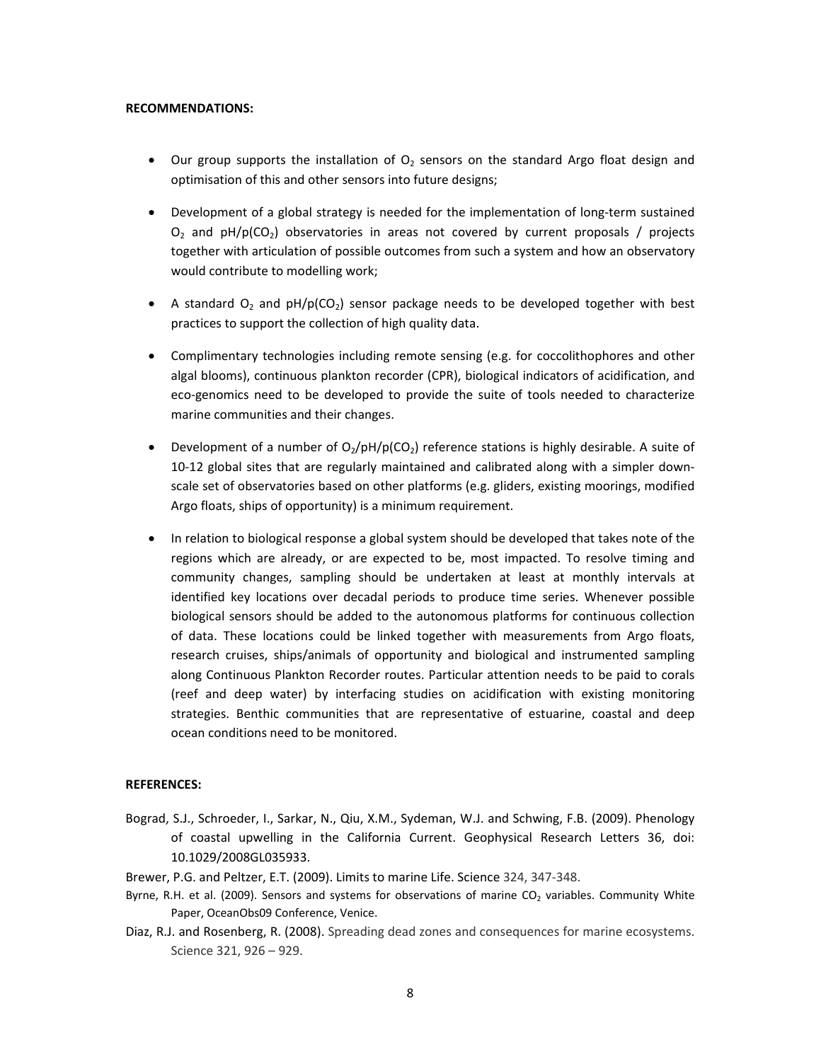#### **RECOMMENDATIONS:**

- Our group supports the installation of  $O<sub>2</sub>$  sensors on the standard Argo float design and optimisation of this and other sensors into future designs;
- Development of a global strategy is needed for the implementation of long-term sustained  $O<sub>2</sub>$  and  $pH/p(CO<sub>2</sub>)$  observatories in areas not covered by current proposals / projects together with articulation of possible outcomes from such a system and how an observatory would contribute to modelling work;
- A standard  $O_2$  and  $pH/p(CO_2)$  sensor package needs to be developed together with best practices to support the collection of high quality data.
- Complimentary technologies including remote sensing (e.g. for coccolithophores and other algal blooms), continuous plankton recorder (CPR), biological indicators of acidification, and eco‐genomics need to be developed to provide the suite of tools needed to characterize marine communities and their changes.
- Development of a number of  $O_2$ /pH/p(CO<sub>2</sub>) reference stations is highly desirable. A suite of 10‐12 global sites that are regularly maintained and calibrated along with a simpler down‐ scale set of observatories based on other platforms (e.g. gliders, existing moorings, modified Argo floats, ships of opportunity) is a minimum requirement.
- In relation to biological response a global system should be developed that takes note of the regions which are already, or are expected to be, most impacted. To resolve timing and community changes, sampling should be undertaken at least at monthly intervals at identified key locations over decadal periods to produce time series. Whenever possible biological sensors should be added to the autonomous platforms for continuous collection of data. These locations could be linked together with measurements from Argo floats, research cruises, ships/animals of opportunity and biological and instrumented sampling along Continuous Plankton Recorder routes. Particular attention needs to be paid to corals (reef and deep water) by interfacing studies on acidification with existing monitoring strategies. Benthic communities that are representative of estuarine, coastal and deep ocean conditions need to be monitored.

### **REFERENCES:**

- Bograd, S.J., Schroeder, I., Sarkar, N., Qiu, X.M., Sydeman, W.J. and Schwing, F.B. (2009). Phenology of coastal upwelling in the California Current. Geophysical Research Letters 36, doi: 10.1029/2008GL035933.
- Brewer, P.G. and Peltzer, E.T. (2009). Limits to marine Life. Science 324, 347‐348.
- Byrne, R.H. et al. (2009). Sensors and systems for observations of marine  $CO<sub>2</sub>$  variables. Community White Paper, OceanObs09 Conference, Venice.
- Diaz, R.J. and Rosenberg, R. (2008). Spreading dead zones and consequences for marine ecosystems. Science 321, 926 – 929.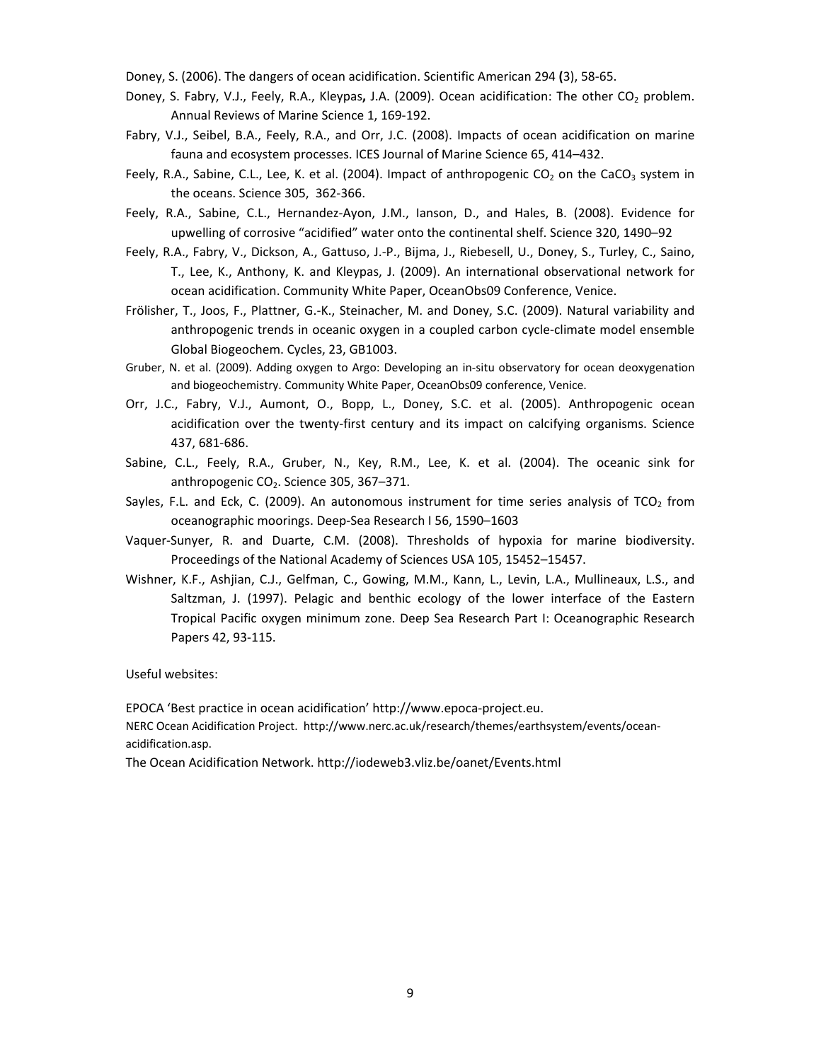Doney, S. (2006). The dangers of ocean acidification. Scientific American 294 **(**3), 58‐65.

- Doney, S. Fabry, V.J., Feely, R.A., Kleypas, J.A. (2009). Ocean acidification: The other CO<sub>2</sub> problem. Annual Reviews of Marine Science 1, 169‐192.
- Fabry, V.J., Seibel, B.A., Feely, R.A., and Orr, J.C. (2008). Impacts of ocean acidification on marine fauna and ecosystem processes. ICES Journal of Marine Science 65, 414–432.
- Feely, R.A., Sabine, C.L., Lee, K. et al. (2004). Impact of anthropogenic  $CO<sub>2</sub>$  on the CaCO<sub>3</sub> system in the oceans. Science 305,362‐366.
- Feely, R.A., Sabine, C.L., Hernandez‐Ayon, J.M., Ianson, D., and Hales, B. (2008). Evidence for upwelling of corrosive "acidified" water onto the continental shelf. Science 320, 1490–92
- Feely, R.A., Fabry, V., Dickson, A., Gattuso, J.‐P., Bijma, J., Riebesell, U., Doney, S., Turley, C., Saino, T., Lee, K., Anthony, K. and Kleypas, J. (2009). An international observational network for ocean acidification. Community White Paper, OceanObs09 Conference, Venice.
- Frölisher, T., Joos, F., Plattner, G.‐K., Steinacher, M. and Doney, S.C. (2009). Natural variability and anthropogenic trends in oceanic oxygen in a coupled carbon cycle‐climate model ensemble Global Biogeochem. Cycles, 23, GB1003.
- Gruber, N. et al. (2009). Adding oxygen to Argo: Developing an in‐situ observatory for ocean deoxygenation and biogeochemistry. Community White Paper, OceanObs09 conference, Venice.
- Orr, J.C., Fabry, V.J., Aumont, O., Bopp, L., Doney, S.C. et al. (2005). Anthropogenic ocean acidification over the twenty-first century and its impact on calcifying organisms. Science 437, 681‐686.
- Sabine, C.L., Feely, R.A., Gruber, N., Key, R.M., Lee, K. et al. (2004). The oceanic sink for anthropogenic  $CO<sub>2</sub>$ . Science 305, 367–371.
- Sayles, F.L. and Eck, C. (2009). An autonomous instrument for time series analysis of TCO<sub>2</sub> from oceanographic moorings. Deep‐Sea Research I 56, 1590–1603
- Vaquer‐Sunyer, R. and Duarte, C.M. (2008). Thresholds of hypoxia for marine biodiversity. Proceedings of the National Academy of Sciences USA 105, 15452–15457.
- Wishner, K.F., Ashjian, C.J., Gelfman, C., Gowing, M.M., Kann, L., Levin, L.A., Mullineaux, L.S., and Saltzman, J. (1997). Pelagic and benthic ecology of the lower interface of the Eastern Tropical Pacific oxygen minimum zone. Deep Sea Research Part I: Oceanographic Research Papers 42, 93‐115.

Useful websites:

EPOCA 'Best practice in ocean acidification' http://www.epoca‐project.eu.

NERC Ocean Acidification Project. http://www.nerc.ac.uk/research/themes/earthsystem/events/ocean‐ acidification.asp.

The Ocean Acidification Network. http://iodeweb3.vliz.be/oanet/Events.html